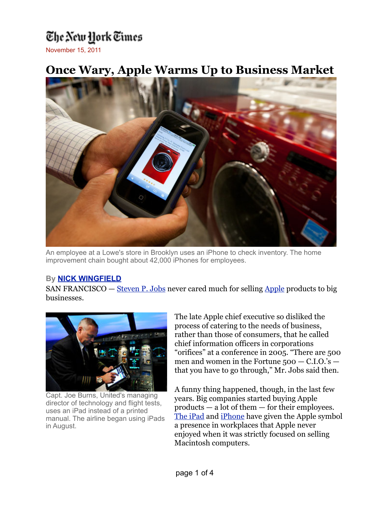## The New York Times

November 15, 2011

## **Once Wary, Apple Warms Up to Business Market**



An employee at a Lowe's store in Brooklyn uses an iPhone to check inventory. The home improvement chain bought about 42,000 iPhones for employees.

## **By [NICK WINGFIELD](http://topics.nytimes.com/top/reference/timestopics/people/w/nick_wingfield/index.html?inline=nyt-per)**

SAN FRANCISCO — [Steven P. Jobs](http://topics.nytimes.com/top/reference/timestopics/people/j/steven_p_jobs/index.html?inline=nyt-per) never cared much for selling [Apple](http://topics.nytimes.com/top/news/business/companies/apple_computer_inc/index.html?inline=nyt-org) products to big businesses.



Capt. Joe Burns, United's managing director of technology and flight tests, uses an iPad instead of a printed manual. The airline began using iPads in August.

The late Apple chief executive so disliked the process of catering to the needs of business, rather than those of consumers, that he called chief information officers in corporations "orifices" at a conference in 2005. "There are 500 men and women in the Fortune  $500 - C.I.O.'s$  – that you have to go through," Mr. Jobs said then.

A funny thing happened, though, in the last few years. Big companies started buying Apple products — a lot of them — for their employees. [The iPad](http://www.nytimes.com/2011/02/21/technology/21tablet.html?ref=ipad) and [iPhone](http://topics.nytimes.com/top/reference/timestopics/subjects/i/iphone/index.html?inline=nyt-classifier) have given the Apple symbol a presence in workplaces that Apple never enjoyed when it was strictly focused on selling Macintosh computers.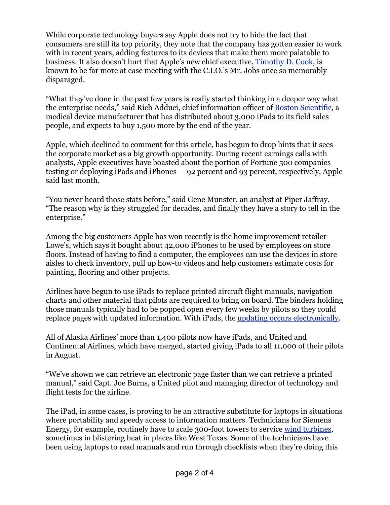While corporate technology buyers say Apple does not try to hide the fact that consumers are still its top priority, they note that the company has gotten easier to work with in recent years, adding features to its devices that make them more palatable to business. It also doesn't hurt that Apple's new chief executive, [Timothy D. Cook](http://topics.nytimes.com/top/reference/timestopics/people/c/timothy_cook/index.html?inline=nyt-per), is known to be far more at ease meeting with the C.I.O.'s Mr. Jobs once so memorably disparaged.

"What they've done in the past few years is really started thinking in a deeper way what the enterprise needs," said Rich Adduci, chief information officer of [Boston Scientific,](http://topics.nytimes.com/top/news/business/companies/boston_scientific_corporation/index.html?inline=nyt-org) a medical device manufacturer that has distributed about 3,000 iPads to its field sales people, and expects to buy 1,500 more by the end of the year.

Apple, which declined to comment for this article, has begun to drop hints that it sees the corporate market as a big growth opportunity. During recent earnings calls with analysts, Apple executives have boasted about the portion of Fortune 500 companies testing or deploying iPads and iPhones — 92 percent and 93 percent, respectively, Apple said last month.

"You never heard those stats before," said Gene Munster, an analyst at Piper Jaffray. "The reason why is they struggled for decades, and finally they have a story to tell in the enterprise."

Among the big customers Apple has won recently is the home improvement retailer Lowe's, which says it bought about 42,000 iPhones to be used by employees on store floors. Instead of having to find a computer, the employees can use the devices in store aisles to check inventory, pull up how-to videos and help customers estimate costs for painting, flooring and other projects.

Airlines have begun to use iPads to replace printed aircraft flight manuals, navigation charts and other material that pilots are required to bring on board. The binders holding those manuals typically had to be popped open every few weeks by pilots so they could replace pages with updated information. With iPads, the [updating occurs electronically.](http://jeppdirect.jeppesen.com/main/store/legal/charts/ifr_jepptc.jsp)

All of Alaska Airlines' more than 1,400 pilots now have iPads, and United and Continental Airlines, which have merged, started giving iPads to all 11,000 of their pilots in August.

"We've shown we can retrieve an electronic page faster than we can retrieve a printed manual," said Capt. Joe Burns, a United pilot and managing director of technology and flight tests for the airline.

The iPad, in some cases, is proving to be an attractive substitute for laptops in situations where portability and speedy access to information matters. Technicians for Siemens Energy, for example, routinely have to scale 300-foot towers to service [wind turbines](http://topics.nytimes.com/top/reference/timestopics/subjects/w/wind_power/index.html?inline=nyt-classifier), sometimes in blistering heat in places like West Texas. Some of the technicians have been using laptops to read manuals and run through checklists when they're doing this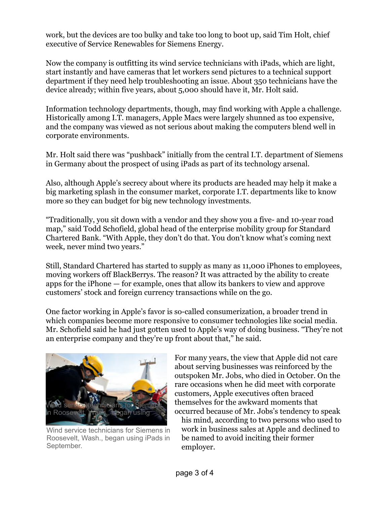work, but the devices are too bulky and take too long to boot up, said Tim Holt, chief executive of Service Renewables for Siemens Energy.

Now the company is outfitting its wind service technicians with iPads, which are light, start instantly and have cameras that let workers send pictures to a technical support department if they need help troubleshooting an issue. About 350 technicians have the device already; within five years, about 5,000 should have it, Mr. Holt said.

Information technology departments, though, may find working with Apple a challenge. Historically among I.T. managers, Apple Macs were largely shunned as too expensive, and the company was viewed as not serious about making the computers blend well in corporate environments.

Mr. Holt said there was "pushback" initially from the central I.T. department of Siemens in Germany about the prospect of using iPads as part of its technology arsenal.

Also, although Apple's secrecy about where its products are headed may help it make a big marketing splash in the consumer market, corporate I.T. departments like to know more so they can budget for big new technology investments.

"Traditionally, you sit down with a vendor and they show you a five- and 10-year road map," said Todd Schofield, global head of the enterprise mobility group for Standard Chartered Bank. "With Apple, they don't do that. You don't know what's coming next week, never mind two years."

Still, Standard Chartered has started to supply as many as 11,000 iPhones to employees, moving workers off BlackBerrys. The reason? It was attracted by the ability to create apps for the iPhone — for example, ones that allow its bankers to view and approve customers' stock and foreign currency transactions while on the go.

One factor working in Apple's favor is so-called consumerization, a broader trend in which companies become more responsive to consumer technologies like social media. Mr. Schofield said he had just gotten used to Apple's way of doing business. "They're not an enterprise company and they're up front about that," he said.



Wind service technicians for Siemens in Roosevelt, Wash., began using iPads in September.

For many years, the view that Apple did not care about serving businesses was reinforced by the outspoken Mr. Jobs, who died in October. On the rare occasions when he did meet with corporate customers, Apple executives often braced themselves for the awkward moments that occurred because of Mr. Jobs's tendency to speak

his mind, according to two persons who used to work in business sales at Apple and declined to be named to avoid inciting their former employer.